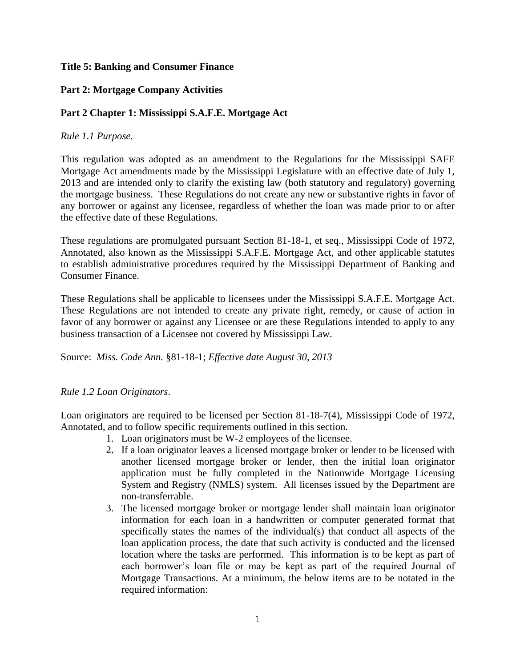## **Title 5: Banking and Consumer Finance**

## **Part 2: Mortgage Company Activities**

## **Part 2 Chapter 1: Mississippi S.A.F.E. Mortgage Act**

### *Rule 1.1 Purpose.*

This regulation was adopted as an amendment to the Regulations for the Mississippi SAFE Mortgage Act amendments made by the Mississippi Legislature with an effective date of July 1, 2013 and are intended only to clarify the existing law (both statutory and regulatory) governing the mortgage business. These Regulations do not create any new or substantive rights in favor of any borrower or against any licensee, regardless of whether the loan was made prior to or after the effective date of these Regulations.

These regulations are promulgated pursuant Section 81-18-1, et seq., Mississippi Code of 1972, Annotated, also known as the Mississippi S.A.F.E. Mortgage Act, and other applicable statutes to establish administrative procedures required by the Mississippi Department of Banking and Consumer Finance.

These Regulations shall be applicable to licensees under the Mississippi S.A.F.E. Mortgage Act. These Regulations are not intended to create any private right, remedy, or cause of action in favor of any borrower or against any Licensee or are these Regulations intended to apply to any business transaction of a Licensee not covered by Mississippi Law.

Source: *Miss. Code Ann.* §81-18-1; *Effective date August 30, 2013*

#### *Rule 1.2 Loan Originators*.

Loan originators are required to be licensed per Section 81-18-7(4), Mississippi Code of 1972, Annotated, and to follow specific requirements outlined in this section.

- 1. Loan originators must be W-2 employees of the licensee.
- 2. If a loan originator leaves a licensed mortgage broker or lender to be licensed with another licensed mortgage broker or lender, then the initial loan originator application must be fully completed in the Nationwide Mortgage Licensing System and Registry (NMLS) system. All licenses issued by the Department are non-transferrable.
- 3. The licensed mortgage broker or mortgage lender shall maintain loan originator information for each loan in a handwritten or computer generated format that specifically states the names of the individual(s) that conduct all aspects of the loan application process, the date that such activity is conducted and the licensed location where the tasks are performed. This information is to be kept as part of each borrower's loan file or may be kept as part of the required Journal of Mortgage Transactions. At a minimum, the below items are to be notated in the required information: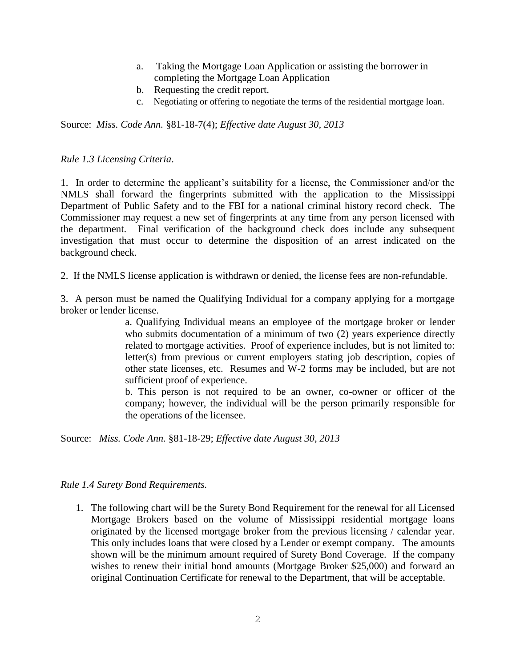- a. Taking the Mortgage Loan Application or assisting the borrower in completing the Mortgage Loan Application
- b. Requesting the credit report.
- c. Negotiating or offering to negotiate the terms of the residential mortgage loan.

Source: *Miss. Code Ann.* §81-18-7(4); *Effective date August 30, 2013*

#### *Rule 1.3 Licensing Criteria*.

1. In order to determine the applicant's suitability for a license, the Commissioner and/or the NMLS shall forward the fingerprints submitted with the application to the Mississippi Department of Public Safety and to the FBI for a national criminal history record check. The Commissioner may request a new set of fingerprints at any time from any person licensed with the department. Final verification of the background check does include any subsequent investigation that must occur to determine the disposition of an arrest indicated on the background check.

2. If the NMLS license application is withdrawn or denied, the license fees are non-refundable.

3. A person must be named the Qualifying Individual for a company applying for a mortgage broker or lender license.

> a. Qualifying Individual means an employee of the mortgage broker or lender who submits documentation of a minimum of two (2) years experience directly related to mortgage activities. Proof of experience includes, but is not limited to: letter(s) from previous or current employers stating job description, copies of other state licenses, etc. Resumes and W-2 forms may be included, but are not sufficient proof of experience.

> b. This person is not required to be an owner, co-owner or officer of the company; however, the individual will be the person primarily responsible for the operations of the licensee.

Source: *Miss. Code Ann.* §81-18-29; *Effective date August 30, 2013*

#### *Rule 1.4 Surety Bond Requirements.*

1. The following chart will be the Surety Bond Requirement for the renewal for all Licensed Mortgage Brokers based on the volume of Mississippi residential mortgage loans originated by the licensed mortgage broker from the previous licensing / calendar year. This only includes loans that were closed by a Lender or exempt company. The amounts shown will be the minimum amount required of Surety Bond Coverage. If the company wishes to renew their initial bond amounts (Mortgage Broker \$25,000) and forward an original Continuation Certificate for renewal to the Department, that will be acceptable.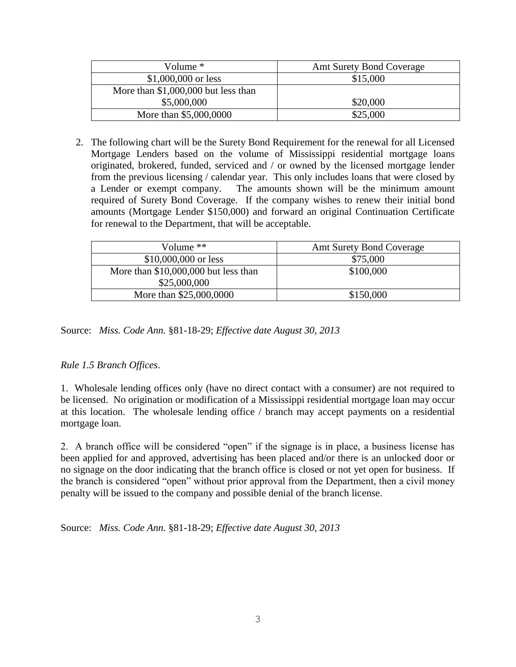| Volume $*$                           | <b>Amt Surety Bond Coverage</b> |
|--------------------------------------|---------------------------------|
| $$1,000,000$ or less                 | \$15,000                        |
| More than $$1,000,000$ but less than |                                 |
| \$5,000,000                          | \$20,000                        |
| More than \$5,000,0000               | \$25,000                        |

2. The following chart will be the Surety Bond Requirement for the renewal for all Licensed Mortgage Lenders based on the volume of Mississippi residential mortgage loans originated, brokered, funded, serviced and / or owned by the licensed mortgage lender from the previous licensing / calendar year. This only includes loans that were closed by a Lender or exempt company. The amounts shown will be the minimum amount required of Surety Bond Coverage. If the company wishes to renew their initial bond amounts (Mortgage Lender \$150,000) and forward an original Continuation Certificate for renewal to the Department, that will be acceptable.

| Volume $**$                           | <b>Amt Surety Bond Coverage</b> |
|---------------------------------------|---------------------------------|
| $$10,000,000$ or less                 | \$75,000                        |
| More than $$10,000,000$ but less than | \$100,000                       |
| \$25,000,000                          |                                 |
| More than \$25,000,0000               | \$150,000                       |

Source: *Miss. Code Ann.* §81-18-29; *Effective date August 30, 2013*

## *Rule 1.5 Branch Offices*.

1. Wholesale lending offices only (have no direct contact with a consumer) are not required to be licensed. No origination or modification of a Mississippi residential mortgage loan may occur at this location. The wholesale lending office / branch may accept payments on a residential mortgage loan.

2. A branch office will be considered "open" if the signage is in place, a business license has been applied for and approved, advertising has been placed and/or there is an unlocked door or no signage on the door indicating that the branch office is closed or not yet open for business. If the branch is considered "open" without prior approval from the Department, then a civil money penalty will be issued to the company and possible denial of the branch license.

Source: *Miss. Code Ann.* §81-18-29; *Effective date August 30, 2013*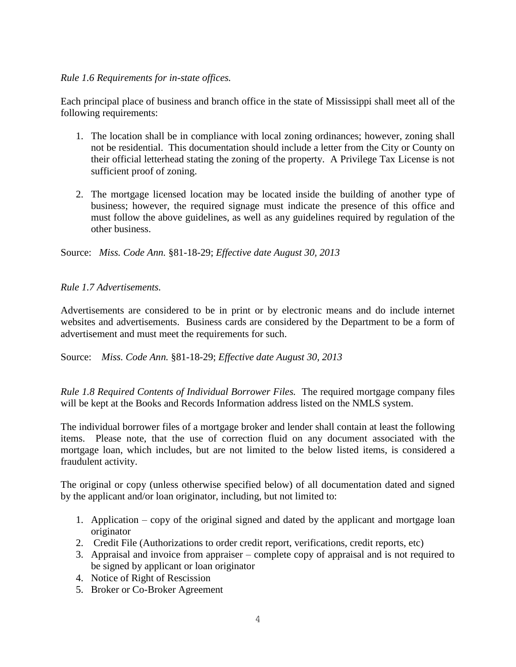### *Rule 1.6 Requirements for in-state offices.*

Each principal place of business and branch office in the state of Mississippi shall meet all of the following requirements:

- 1. The location shall be in compliance with local zoning ordinances; however, zoning shall not be residential. This documentation should include a letter from the City or County on their official letterhead stating the zoning of the property. A Privilege Tax License is not sufficient proof of zoning.
- 2. The mortgage licensed location may be located inside the building of another type of business; however, the required signage must indicate the presence of this office and must follow the above guidelines, as well as any guidelines required by regulation of the other business.

Source: *Miss. Code Ann.* §81-18-29; *Effective date August 30, 2013*

## *Rule 1.7 Advertisements.*

Advertisements are considered to be in print or by electronic means and do include internet websites and advertisements. Business cards are considered by the Department to be a form of advertisement and must meet the requirements for such.

Source: *Miss. Code Ann.* §81-18-29; *Effective date August 30, 2013*

*Rule 1.8 Required Contents of Individual Borrower Files.* The required mortgage company files will be kept at the Books and Records Information address listed on the NMLS system.

The individual borrower files of a mortgage broker and lender shall contain at least the following items. Please note, that the use of correction fluid on any document associated with the mortgage loan, which includes, but are not limited to the below listed items, is considered a fraudulent activity.

The original or copy (unless otherwise specified below) of all documentation dated and signed by the applicant and/or loan originator, including, but not limited to:

- 1. Application copy of the original signed and dated by the applicant and mortgage loan originator
- 2. Credit File (Authorizations to order credit report, verifications, credit reports, etc)
- 3. Appraisal and invoice from appraiser complete copy of appraisal and is not required to be signed by applicant or loan originator
- 4. Notice of Right of Rescission
- 5. Broker or Co-Broker Agreement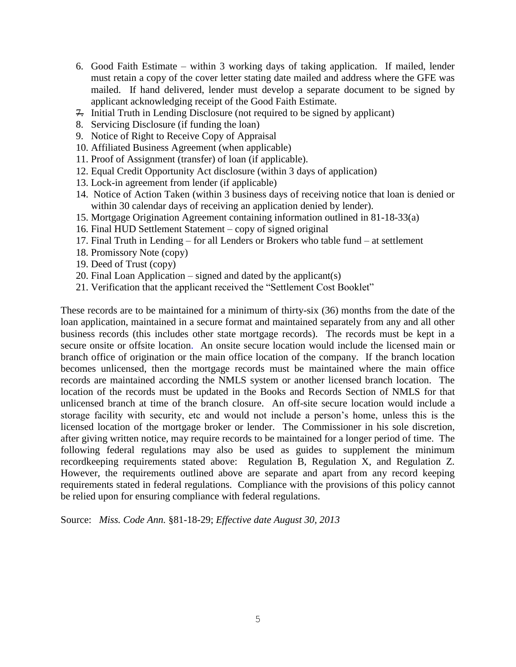- 6. Good Faith Estimate within 3 working days of taking application. If mailed, lender must retain a copy of the cover letter stating date mailed and address where the GFE was mailed. If hand delivered, lender must develop a separate document to be signed by applicant acknowledging receipt of the Good Faith Estimate.
- 7. Initial Truth in Lending Disclosure (not required to be signed by applicant)
- 8. Servicing Disclosure (if funding the loan)
- 9. Notice of Right to Receive Copy of Appraisal
- 10. Affiliated Business Agreement (when applicable)
- 11. Proof of Assignment (transfer) of loan (if applicable).
- 12. Equal Credit Opportunity Act disclosure (within 3 days of application)
- 13. Lock-in agreement from lender (if applicable)
- 14. Notice of Action Taken (within 3 business days of receiving notice that loan is denied or within 30 calendar days of receiving an application denied by lender).
- 15. Mortgage Origination Agreement containing information outlined in 81-18-33(a)
- 16. Final HUD Settlement Statement copy of signed original
- 17. Final Truth in Lending for all Lenders or Brokers who table fund at settlement
- 18. Promissory Note (copy)
- 19. Deed of Trust (copy)
- 20. Final Loan Application signed and dated by the applicant(s)
- 21. Verification that the applicant received the "Settlement Cost Booklet"

These records are to be maintained for a minimum of thirty-six (36) months from the date of the loan application, maintained in a secure format and maintained separately from any and all other business records (this includes other state mortgage records). The records must be kept in a secure onsite or offsite location. An onsite secure location would include the licensed main or branch office of origination or the main office location of the company. If the branch location becomes unlicensed, then the mortgage records must be maintained where the main office records are maintained according the NMLS system or another licensed branch location. The location of the records must be updated in the Books and Records Section of NMLS for that unlicensed branch at time of the branch closure. An off-site secure location would include a storage facility with security, etc and would not include a person's home, unless this is the licensed location of the mortgage broker or lender. The Commissioner in his sole discretion, after giving written notice, may require records to be maintained for a longer period of time. The following federal regulations may also be used as guides to supplement the minimum recordkeeping requirements stated above: Regulation B, Regulation X, and Regulation Z. However, the requirements outlined above are separate and apart from any record keeping requirements stated in federal regulations. Compliance with the provisions of this policy cannot be relied upon for ensuring compliance with federal regulations.

Source: *Miss. Code Ann.* §81-18-29; *Effective date August 30, 2013*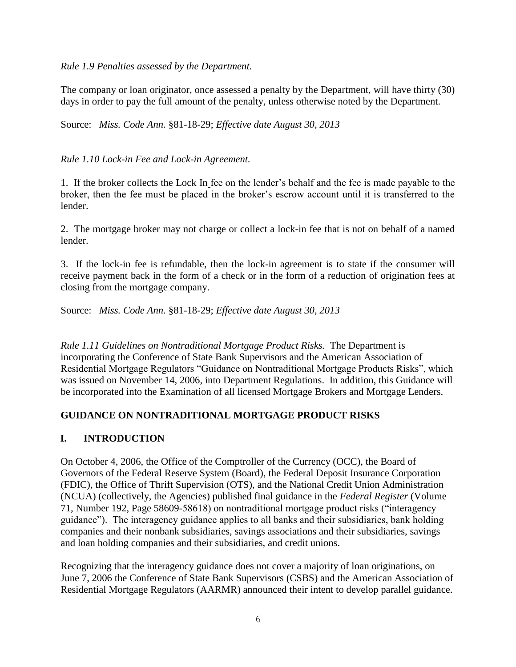*Rule 1.9 Penalties assessed by the Department.*

The company or loan originator, once assessed a penalty by the Department, will have thirty (30) days in order to pay the full amount of the penalty, unless otherwise noted by the Department.

Source: *Miss. Code Ann.* §81-18-29; *Effective date August 30, 2013*

## *Rule 1.10 Lock-in Fee and Lock-in Agreement.*

1. If the broker collects the Lock In fee on the lender's behalf and the fee is made payable to the broker, then the fee must be placed in the broker's escrow account until it is transferred to the lender.

2. The mortgage broker may not charge or collect a lock-in fee that is not on behalf of a named lender.

3. If the lock-in fee is refundable, then the lock-in agreement is to state if the consumer will receive payment back in the form of a check or in the form of a reduction of origination fees at closing from the mortgage company.

Source: *Miss. Code Ann.* §81-18-29; *Effective date August 30, 2013*

*Rule 1.11 Guidelines on Nontraditional Mortgage Product Risks.* The Department is incorporating the Conference of State Bank Supervisors and the American Association of Residential Mortgage Regulators "Guidance on Nontraditional Mortgage Products Risks", which was issued on November 14, 2006, into Department Regulations. In addition, this Guidance will be incorporated into the Examination of all licensed Mortgage Brokers and Mortgage Lenders.

## **GUIDANCE ON NONTRADITIONAL MORTGAGE PRODUCT RISKS**

## **I. INTRODUCTION**

On October 4, 2006, the Office of the Comptroller of the Currency (OCC), the Board of Governors of the Federal Reserve System (Board), the Federal Deposit Insurance Corporation (FDIC), the Office of Thrift Supervision (OTS), and the National Credit Union Administration (NCUA) (collectively, the Agencies) published final guidance in the *Federal Register* (Volume 71, Number 192, Page 58609-58618) on nontraditional mortgage product risks ("interagency guidance"). The interagency guidance applies to all banks and their subsidiaries, bank holding companies and their nonbank subsidiaries, savings associations and their subsidiaries, savings and loan holding companies and their subsidiaries, and credit unions.

Recognizing that the interagency guidance does not cover a majority of loan originations, on June 7, 2006 the Conference of State Bank Supervisors (CSBS) and the American Association of Residential Mortgage Regulators (AARMR) announced their intent to develop parallel guidance.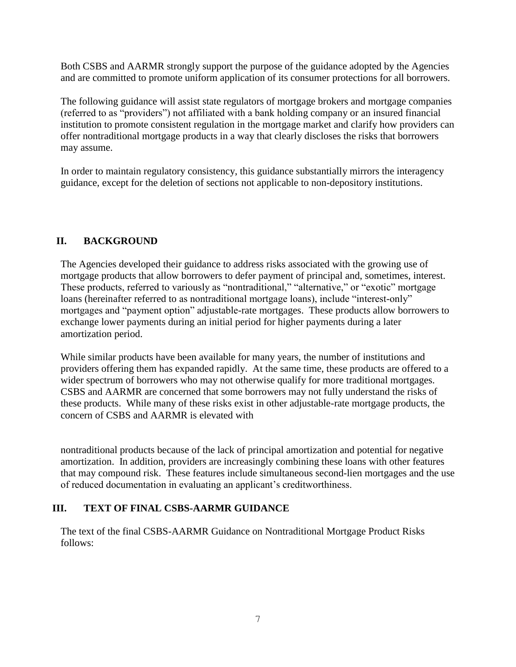Both CSBS and AARMR strongly support the purpose of the guidance adopted by the Agencies and are committed to promote uniform application of its consumer protections for all borrowers.

The following guidance will assist state regulators of mortgage brokers and mortgage companies (referred to as "providers") not affiliated with a bank holding company or an insured financial institution to promote consistent regulation in the mortgage market and clarify how providers can offer nontraditional mortgage products in a way that clearly discloses the risks that borrowers may assume.

In order to maintain regulatory consistency, this guidance substantially mirrors the interagency guidance, except for the deletion of sections not applicable to non-depository institutions.

# **II. BACKGROUND**

The Agencies developed their guidance to address risks associated with the growing use of mortgage products that allow borrowers to defer payment of principal and, sometimes, interest. These products, referred to variously as "nontraditional," "alternative," or "exotic" mortgage loans (hereinafter referred to as nontraditional mortgage loans), include "interest-only" mortgages and "payment option" adjustable-rate mortgages. These products allow borrowers to exchange lower payments during an initial period for higher payments during a later amortization period.

While similar products have been available for many years, the number of institutions and providers offering them has expanded rapidly. At the same time, these products are offered to a wider spectrum of borrowers who may not otherwise qualify for more traditional mortgages. CSBS and AARMR are concerned that some borrowers may not fully understand the risks of these products. While many of these risks exist in other adjustable-rate mortgage products, the concern of CSBS and AARMR is elevated with

nontraditional products because of the lack of principal amortization and potential for negative amortization. In addition, providers are increasingly combining these loans with other features that may compound risk. These features include simultaneous second-lien mortgages and the use of reduced documentation in evaluating an applicant's creditworthiness.

## **III. TEXT OF FINAL CSBS-AARMR GUIDANCE**

The text of the final CSBS-AARMR Guidance on Nontraditional Mortgage Product Risks follows: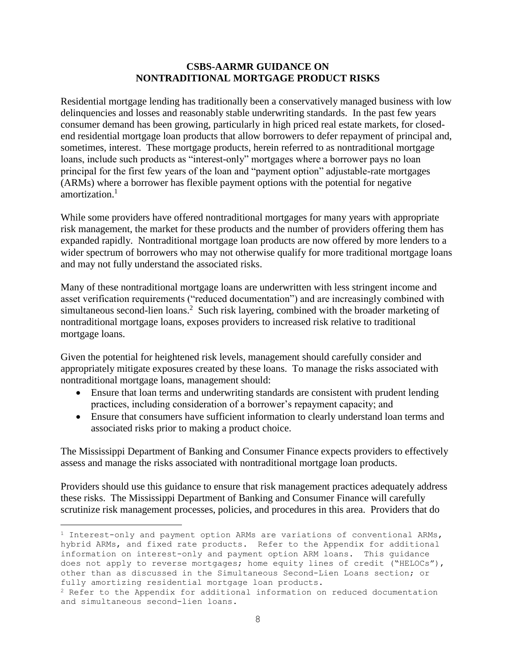#### **CSBS-AARMR GUIDANCE ON NONTRADITIONAL MORTGAGE PRODUCT RISKS**

Residential mortgage lending has traditionally been a conservatively managed business with low delinquencies and losses and reasonably stable underwriting standards. In the past few years consumer demand has been growing, particularly in high priced real estate markets, for closedend residential mortgage loan products that allow borrowers to defer repayment of principal and, sometimes, interest. These mortgage products, herein referred to as nontraditional mortgage loans, include such products as "interest-only" mortgages where a borrower pays no loan principal for the first few years of the loan and "payment option" adjustable-rate mortgages (ARMs) where a borrower has flexible payment options with the potential for negative amortization.<sup>1</sup>

While some providers have offered nontraditional mortgages for many years with appropriate risk management, the market for these products and the number of providers offering them has expanded rapidly. Nontraditional mortgage loan products are now offered by more lenders to a wider spectrum of borrowers who may not otherwise qualify for more traditional mortgage loans and may not fully understand the associated risks.

Many of these nontraditional mortgage loans are underwritten with less stringent income and asset verification requirements ("reduced documentation") and are increasingly combined with simultaneous second-lien loans.<sup>2</sup> Such risk layering, combined with the broader marketing of nontraditional mortgage loans, exposes providers to increased risk relative to traditional mortgage loans.

Given the potential for heightened risk levels, management should carefully consider and appropriately mitigate exposures created by these loans. To manage the risks associated with nontraditional mortgage loans, management should:

- Ensure that loan terms and underwriting standards are consistent with prudent lending practices, including consideration of a borrower's repayment capacity; and
- Ensure that consumers have sufficient information to clearly understand loan terms and associated risks prior to making a product choice.

The Mississippi Department of Banking and Consumer Finance expects providers to effectively assess and manage the risks associated with nontraditional mortgage loan products.

Providers should use this guidance to ensure that risk management practices adequately address these risks. The Mississippi Department of Banking and Consumer Finance will carefully scrutinize risk management processes, policies, and procedures in this area. Providers that do

L,

<sup>1</sup> Interest-only and payment option ARMs are variations of conventional ARMs, hybrid ARMs, and fixed rate products. Refer to the Appendix for additional information on interest-only and payment option ARM loans. This guidance does not apply to reverse mortgages; home equity lines of credit ("HELOCs"), other than as discussed in the Simultaneous Second-Lien Loans section; or fully amortizing residential mortgage loan products.

<sup>2</sup> Refer to the Appendix for additional information on reduced documentation and simultaneous second-lien loans.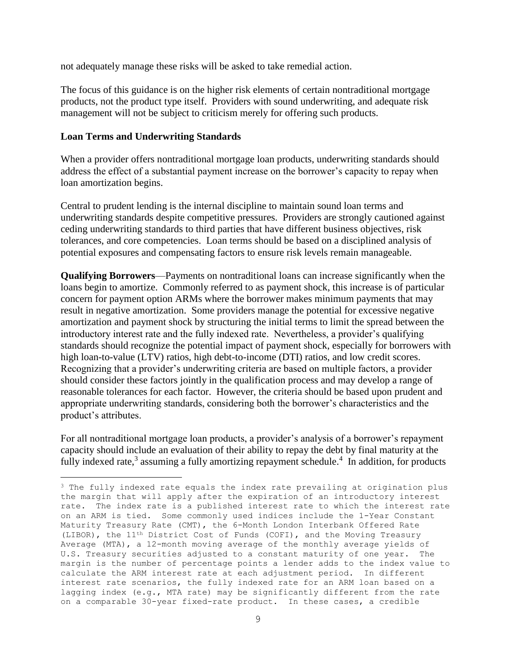not adequately manage these risks will be asked to take remedial action.

The focus of this guidance is on the higher risk elements of certain nontraditional mortgage products, not the product type itself. Providers with sound underwriting, and adequate risk management will not be subject to criticism merely for offering such products.

#### **Loan Terms and Underwriting Standards**

i<br>L

When a provider offers nontraditional mortgage loan products, underwriting standards should address the effect of a substantial payment increase on the borrower's capacity to repay when loan amortization begins.

Central to prudent lending is the internal discipline to maintain sound loan terms and underwriting standards despite competitive pressures. Providers are strongly cautioned against ceding underwriting standards to third parties that have different business objectives, risk tolerances, and core competencies. Loan terms should be based on a disciplined analysis of potential exposures and compensating factors to ensure risk levels remain manageable.

**Qualifying Borrowers**—Payments on nontraditional loans can increase significantly when the loans begin to amortize. Commonly referred to as payment shock, this increase is of particular concern for payment option ARMs where the borrower makes minimum payments that may result in negative amortization. Some providers manage the potential for excessive negative amortization and payment shock by structuring the initial terms to limit the spread between the introductory interest rate and the fully indexed rate. Nevertheless, a provider's qualifying standards should recognize the potential impact of payment shock, especially for borrowers with high loan-to-value (LTV) ratios, high debt-to-income (DTI) ratios, and low credit scores. Recognizing that a provider's underwriting criteria are based on multiple factors, a provider should consider these factors jointly in the qualification process and may develop a range of reasonable tolerances for each factor. However, the criteria should be based upon prudent and appropriate underwriting standards, considering both the borrower's characteristics and the product's attributes.

For all nontraditional mortgage loan products, a provider's analysis of a borrower's repayment capacity should include an evaluation of their ability to repay the debt by final maturity at the fully indexed rate,<sup>3</sup> assuming a fully amortizing repayment schedule.<sup>4</sup> In addition, for products

<sup>3</sup> The fully indexed rate equals the index rate prevailing at origination plus the margin that will apply after the expiration of an introductory interest rate. The index rate is a published interest rate to which the interest rate on an ARM is tied. Some commonly used indices include the 1-Year Constant Maturity Treasury Rate (CMT), the 6-Month London Interbank Offered Rate (LIBOR), the 11th District Cost of Funds (COFI), and the Moving Treasury Average (MTA), a 12-month moving average of the monthly average yields of U.S. Treasury securities adjusted to a constant maturity of one year. The margin is the number of percentage points a lender adds to the index value to calculate the ARM interest rate at each adjustment period. In different interest rate scenarios, the fully indexed rate for an ARM loan based on a lagging index (e.g., MTA rate) may be significantly different from the rate on a comparable 30-year fixed-rate product. In these cases, a credible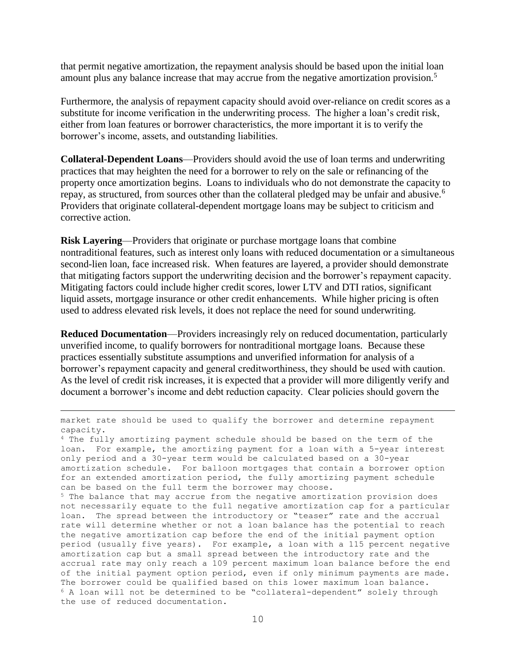that permit negative amortization, the repayment analysis should be based upon the initial loan amount plus any balance increase that may accrue from the negative amortization provision.<sup>5</sup>

Furthermore, the analysis of repayment capacity should avoid over-reliance on credit scores as a substitute for income verification in the underwriting process. The higher a loan's credit risk, either from loan features or borrower characteristics, the more important it is to verify the borrower's income, assets, and outstanding liabilities.

**Collateral-Dependent Loans**—Providers should avoid the use of loan terms and underwriting practices that may heighten the need for a borrower to rely on the sale or refinancing of the property once amortization begins. Loans to individuals who do not demonstrate the capacity to repay, as structured, from sources other than the collateral pledged may be unfair and abusive.<sup>6</sup> Providers that originate collateral-dependent mortgage loans may be subject to criticism and corrective action.

**Risk Layering**—Providers that originate or purchase mortgage loans that combine nontraditional features, such as interest only loans with reduced documentation or a simultaneous second-lien loan, face increased risk. When features are layered, a provider should demonstrate that mitigating factors support the underwriting decision and the borrower's repayment capacity. Mitigating factors could include higher credit scores, lower LTV and DTI ratios, significant liquid assets, mortgage insurance or other credit enhancements. While higher pricing is often used to address elevated risk levels, it does not replace the need for sound underwriting.

**Reduced Documentation**—Providers increasingly rely on reduced documentation, particularly unverified income, to qualify borrowers for nontraditional mortgage loans. Because these practices essentially substitute assumptions and unverified information for analysis of a borrower's repayment capacity and general creditworthiness, they should be used with caution. As the level of credit risk increases, it is expected that a provider will more diligently verify and document a borrower's income and debt reduction capacity. Clear policies should govern the

market rate should be used to qualify the borrower and determine repayment capacity.

i<br>L

<sup>4</sup> The fully amortizing payment schedule should be based on the term of the loan. For example, the amortizing payment for a loan with a 5-year interest only period and a 30-year term would be calculated based on a 30-year amortization schedule. For balloon mortgages that contain a borrower option for an extended amortization period, the fully amortizing payment schedule can be based on the full term the borrower may choose.

<sup>5</sup> The balance that may accrue from the negative amortization provision does not necessarily equate to the full negative amortization cap for a particular loan. The spread between the introductory or "teaser" rate and the accrual rate will determine whether or not a loan balance has the potential to reach the negative amortization cap before the end of the initial payment option period (usually five years). For example, a loan with a 115 percent negative amortization cap but a small spread between the introductory rate and the accrual rate may only reach a 109 percent maximum loan balance before the end of the initial payment option period, even if only minimum payments are made. The borrower could be qualified based on this lower maximum loan balance. <sup>6</sup> A loan will not be determined to be "collateral-dependent" solely through the use of reduced documentation.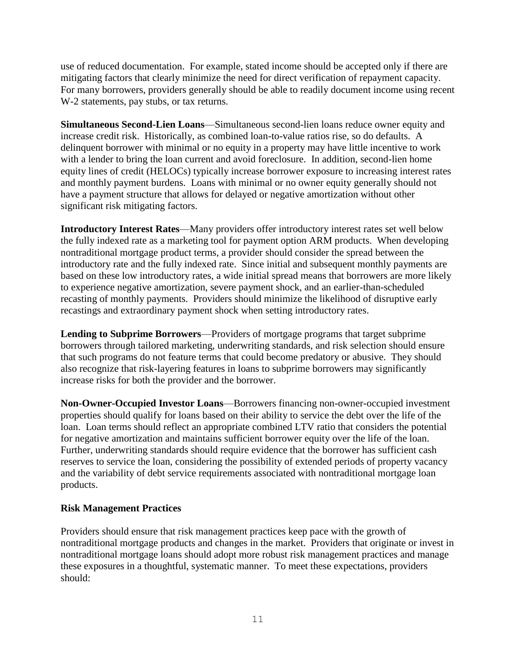use of reduced documentation. For example, stated income should be accepted only if there are mitigating factors that clearly minimize the need for direct verification of repayment capacity. For many borrowers, providers generally should be able to readily document income using recent W-2 statements, pay stubs, or tax returns.

**Simultaneous Second-Lien Loans**—Simultaneous second-lien loans reduce owner equity and increase credit risk. Historically, as combined loan-to-value ratios rise, so do defaults. A delinquent borrower with minimal or no equity in a property may have little incentive to work with a lender to bring the loan current and avoid foreclosure. In addition, second-lien home equity lines of credit (HELOCs) typically increase borrower exposure to increasing interest rates and monthly payment burdens. Loans with minimal or no owner equity generally should not have a payment structure that allows for delayed or negative amortization without other significant risk mitigating factors.

**Introductory Interest Rates**—Many providers offer introductory interest rates set well below the fully indexed rate as a marketing tool for payment option ARM products. When developing nontraditional mortgage product terms, a provider should consider the spread between the introductory rate and the fully indexed rate. Since initial and subsequent monthly payments are based on these low introductory rates, a wide initial spread means that borrowers are more likely to experience negative amortization, severe payment shock, and an earlier-than-scheduled recasting of monthly payments. Providers should minimize the likelihood of disruptive early recastings and extraordinary payment shock when setting introductory rates.

**Lending to Subprime Borrowers**—Providers of mortgage programs that target subprime borrowers through tailored marketing, underwriting standards, and risk selection should ensure that such programs do not feature terms that could become predatory or abusive. They should also recognize that risk-layering features in loans to subprime borrowers may significantly increase risks for both the provider and the borrower.

**Non-Owner-Occupied Investor Loans**—Borrowers financing non-owner-occupied investment properties should qualify for loans based on their ability to service the debt over the life of the loan. Loan terms should reflect an appropriate combined LTV ratio that considers the potential for negative amortization and maintains sufficient borrower equity over the life of the loan. Further, underwriting standards should require evidence that the borrower has sufficient cash reserves to service the loan, considering the possibility of extended periods of property vacancy and the variability of debt service requirements associated with nontraditional mortgage loan products.

#### **Risk Management Practices**

Providers should ensure that risk management practices keep pace with the growth of nontraditional mortgage products and changes in the market. Providers that originate or invest in nontraditional mortgage loans should adopt more robust risk management practices and manage these exposures in a thoughtful, systematic manner. To meet these expectations, providers should: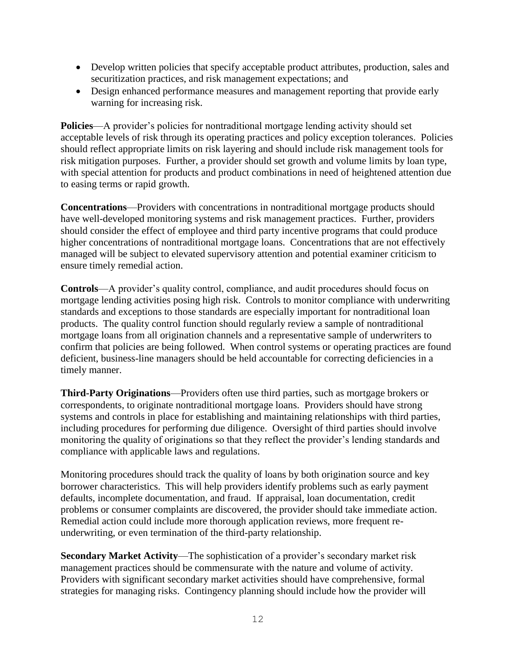- Develop written policies that specify acceptable product attributes, production, sales and securitization practices, and risk management expectations; and
- Design enhanced performance measures and management reporting that provide early warning for increasing risk.

**Policies—A** provider's policies for nontraditional mortgage lending activity should set acceptable levels of risk through its operating practices and policy exception tolerances. Policies should reflect appropriate limits on risk layering and should include risk management tools for risk mitigation purposes. Further, a provider should set growth and volume limits by loan type, with special attention for products and product combinations in need of heightened attention due to easing terms or rapid growth.

**Concentrations**—Providers with concentrations in nontraditional mortgage products should have well-developed monitoring systems and risk management practices. Further, providers should consider the effect of employee and third party incentive programs that could produce higher concentrations of nontraditional mortgage loans. Concentrations that are not effectively managed will be subject to elevated supervisory attention and potential examiner criticism to ensure timely remedial action.

**Controls**—A provider's quality control, compliance, and audit procedures should focus on mortgage lending activities posing high risk. Controls to monitor compliance with underwriting standards and exceptions to those standards are especially important for nontraditional loan products. The quality control function should regularly review a sample of nontraditional mortgage loans from all origination channels and a representative sample of underwriters to confirm that policies are being followed. When control systems or operating practices are found deficient, business-line managers should be held accountable for correcting deficiencies in a timely manner.

**Third-Party Originations**—Providers often use third parties, such as mortgage brokers or correspondents, to originate nontraditional mortgage loans. Providers should have strong systems and controls in place for establishing and maintaining relationships with third parties, including procedures for performing due diligence. Oversight of third parties should involve monitoring the quality of originations so that they reflect the provider's lending standards and compliance with applicable laws and regulations.

Monitoring procedures should track the quality of loans by both origination source and key borrower characteristics. This will help providers identify problems such as early payment defaults, incomplete documentation, and fraud. If appraisal, loan documentation, credit problems or consumer complaints are discovered, the provider should take immediate action. Remedial action could include more thorough application reviews, more frequent reunderwriting, or even termination of the third-party relationship.

**Secondary Market Activity**—The sophistication of a provider's secondary market risk management practices should be commensurate with the nature and volume of activity. Providers with significant secondary market activities should have comprehensive, formal strategies for managing risks. Contingency planning should include how the provider will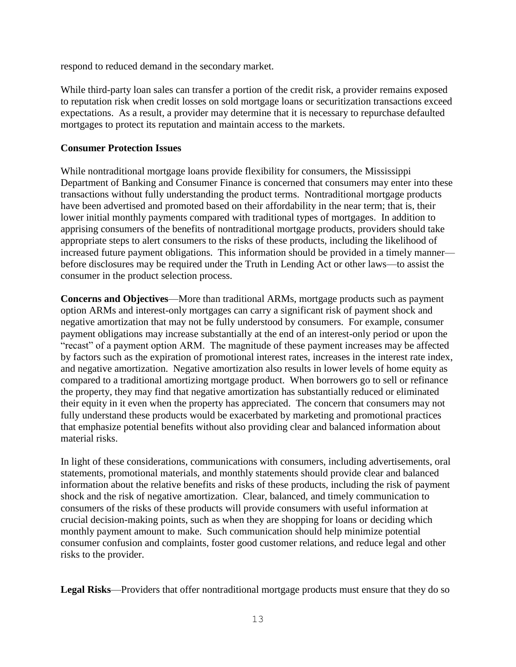respond to reduced demand in the secondary market.

While third-party loan sales can transfer a portion of the credit risk, a provider remains exposed to reputation risk when credit losses on sold mortgage loans or securitization transactions exceed expectations. As a result, a provider may determine that it is necessary to repurchase defaulted mortgages to protect its reputation and maintain access to the markets.

### **Consumer Protection Issues**

While nontraditional mortgage loans provide flexibility for consumers, the Mississippi Department of Banking and Consumer Finance is concerned that consumers may enter into these transactions without fully understanding the product terms. Nontraditional mortgage products have been advertised and promoted based on their affordability in the near term; that is, their lower initial monthly payments compared with traditional types of mortgages. In addition to apprising consumers of the benefits of nontraditional mortgage products, providers should take appropriate steps to alert consumers to the risks of these products, including the likelihood of increased future payment obligations. This information should be provided in a timely manner before disclosures may be required under the Truth in Lending Act or other laws—to assist the consumer in the product selection process.

**Concerns and Objectives**—More than traditional ARMs, mortgage products such as payment option ARMs and interest-only mortgages can carry a significant risk of payment shock and negative amortization that may not be fully understood by consumers. For example, consumer payment obligations may increase substantially at the end of an interest-only period or upon the "recast" of a payment option ARM. The magnitude of these payment increases may be affected by factors such as the expiration of promotional interest rates, increases in the interest rate index, and negative amortization. Negative amortization also results in lower levels of home equity as compared to a traditional amortizing mortgage product. When borrowers go to sell or refinance the property, they may find that negative amortization has substantially reduced or eliminated their equity in it even when the property has appreciated. The concern that consumers may not fully understand these products would be exacerbated by marketing and promotional practices that emphasize potential benefits without also providing clear and balanced information about material risks.

In light of these considerations, communications with consumers, including advertisements, oral statements, promotional materials, and monthly statements should provide clear and balanced information about the relative benefits and risks of these products, including the risk of payment shock and the risk of negative amortization. Clear, balanced, and timely communication to consumers of the risks of these products will provide consumers with useful information at crucial decision-making points, such as when they are shopping for loans or deciding which monthly payment amount to make. Such communication should help minimize potential consumer confusion and complaints, foster good customer relations, and reduce legal and other risks to the provider.

**Legal Risks**—Providers that offer nontraditional mortgage products must ensure that they do so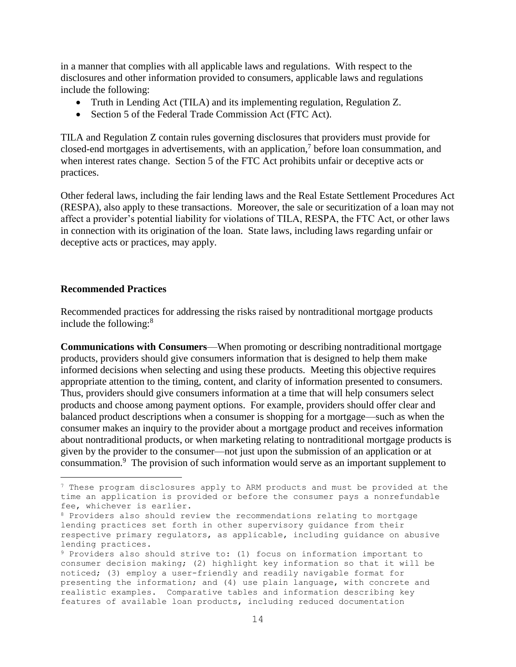in a manner that complies with all applicable laws and regulations. With respect to the disclosures and other information provided to consumers, applicable laws and regulations include the following:

- Truth in Lending Act (TILA) and its implementing regulation, Regulation Z.
- Section 5 of the Federal Trade Commission Act (FTC Act).

TILA and Regulation Z contain rules governing disclosures that providers must provide for closed-end mortgages in advertisements, with an application,<sup>7</sup> before loan consummation, and when interest rates change. Section 5 of the FTC Act prohibits unfair or deceptive acts or practices.

Other federal laws, including the fair lending laws and the Real Estate Settlement Procedures Act (RESPA), also apply to these transactions. Moreover, the sale or securitization of a loan may not affect a provider's potential liability for violations of TILA, RESPA, the FTC Act, or other laws in connection with its origination of the loan. State laws, including laws regarding unfair or deceptive acts or practices, may apply.

#### **Recommended Practices**

i<br>L

Recommended practices for addressing the risks raised by nontraditional mortgage products include the following:<sup>8</sup>

**Communications with Consumers**—When promoting or describing nontraditional mortgage products, providers should give consumers information that is designed to help them make informed decisions when selecting and using these products. Meeting this objective requires appropriate attention to the timing, content, and clarity of information presented to consumers. Thus, providers should give consumers information at a time that will help consumers select products and choose among payment options. For example, providers should offer clear and balanced product descriptions when a consumer is shopping for a mortgage—such as when the consumer makes an inquiry to the provider about a mortgage product and receives information about nontraditional products, or when marketing relating to nontraditional mortgage products is given by the provider to the consumer—not just upon the submission of an application or at consummation.<sup>9</sup> The provision of such information would serve as an important supplement to

<sup>7</sup> These program disclosures apply to ARM products and must be provided at the time an application is provided or before the consumer pays a nonrefundable fee, whichever is earlier.

<sup>8</sup> Providers also should review the recommendations relating to mortgage lending practices set forth in other supervisory guidance from their respective primary regulators, as applicable, including guidance on abusive lending practices.

<sup>9</sup> Providers also should strive to: (1) focus on information important to consumer decision making; (2) highlight key information so that it will be noticed; (3) employ a user-friendly and readily navigable format for presenting the information; and (4) use plain language, with concrete and realistic examples. Comparative tables and information describing key features of available loan products, including reduced documentation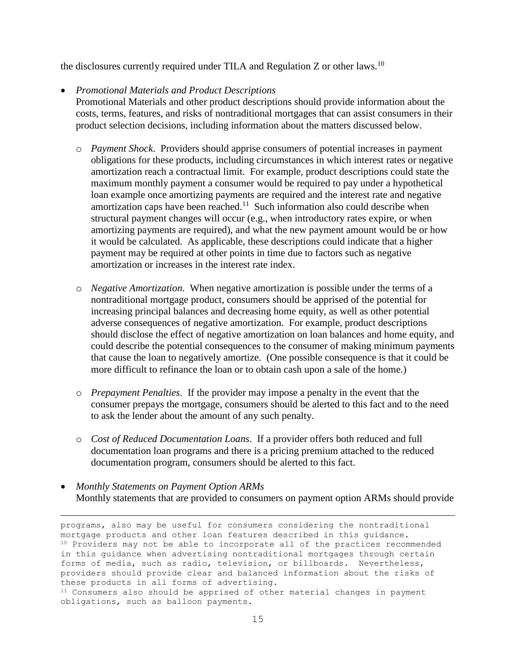the disclosures currently required under TILA and Regulation  $Z$  or other laws.<sup>10</sup>

### *Promotional Materials and Product Descriptions*

i<br>L

Promotional Materials and other product descriptions should provide information about the costs, terms, features, and risks of nontraditional mortgages that can assist consumers in their product selection decisions, including information about the matters discussed below.

- o *Payment Shock*. Providers should apprise consumers of potential increases in payment obligations for these products, including circumstances in which interest rates or negative amortization reach a contractual limit. For example, product descriptions could state the maximum monthly payment a consumer would be required to pay under a hypothetical loan example once amortizing payments are required and the interest rate and negative amortization caps have been reached.<sup>11</sup> Such information also could describe when structural payment changes will occur (e.g., when introductory rates expire, or when amortizing payments are required), and what the new payment amount would be or how it would be calculated. As applicable, these descriptions could indicate that a higher payment may be required at other points in time due to factors such as negative amortization or increases in the interest rate index.
- o *Negative Amortization*. When negative amortization is possible under the terms of a nontraditional mortgage product, consumers should be apprised of the potential for increasing principal balances and decreasing home equity, as well as other potential adverse consequences of negative amortization. For example, product descriptions should disclose the effect of negative amortization on loan balances and home equity, and could describe the potential consequences to the consumer of making minimum payments that cause the loan to negatively amortize. (One possible consequence is that it could be more difficult to refinance the loan or to obtain cash upon a sale of the home.)
- o *Prepayment Penalties*. If the provider may impose a penalty in the event that the consumer prepays the mortgage, consumers should be alerted to this fact and to the need to ask the lender about the amount of any such penalty.
- o *Cost of Reduced Documentation Loans*. If a provider offers both reduced and full documentation loan programs and there is a pricing premium attached to the reduced documentation program, consumers should be alerted to this fact.
- *Monthly Statements on Payment Option ARMs* Monthly statements that are provided to consumers on payment option ARMs should provide

programs, also may be useful for consumers considering the nontraditional mortgage products and other loan features described in this guidance. <sup>10</sup> Providers may not be able to incorporate all of the practices recommended in this guidance when advertising nontraditional mortgages through certain forms of media, such as radio, television, or billboards. Nevertheless, providers should provide clear and balanced information about the risks of these products in all forms of advertising. <sup>11</sup> Consumers also should be apprised of other material changes in payment obligations, such as balloon payments.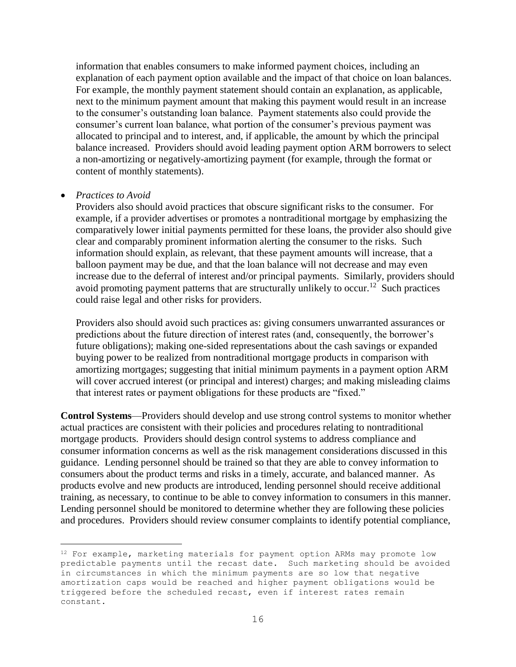information that enables consumers to make informed payment choices, including an explanation of each payment option available and the impact of that choice on loan balances. For example, the monthly payment statement should contain an explanation, as applicable, next to the minimum payment amount that making this payment would result in an increase to the consumer's outstanding loan balance. Payment statements also could provide the consumer's current loan balance, what portion of the consumer's previous payment was allocated to principal and to interest, and, if applicable, the amount by which the principal balance increased. Providers should avoid leading payment option ARM borrowers to select a non-amortizing or negatively-amortizing payment (for example, through the format or content of monthly statements).

#### *Practices to Avoid*

i<br>L

Providers also should avoid practices that obscure significant risks to the consumer. For example, if a provider advertises or promotes a nontraditional mortgage by emphasizing the comparatively lower initial payments permitted for these loans, the provider also should give clear and comparably prominent information alerting the consumer to the risks. Such information should explain, as relevant, that these payment amounts will increase, that a balloon payment may be due, and that the loan balance will not decrease and may even increase due to the deferral of interest and/or principal payments. Similarly, providers should avoid promoting payment patterns that are structurally unlikely to occur.<sup>12</sup> Such practices could raise legal and other risks for providers.

Providers also should avoid such practices as: giving consumers unwarranted assurances or predictions about the future direction of interest rates (and, consequently, the borrower's future obligations); making one-sided representations about the cash savings or expanded buying power to be realized from nontraditional mortgage products in comparison with amortizing mortgages; suggesting that initial minimum payments in a payment option ARM will cover accrued interest (or principal and interest) charges; and making misleading claims that interest rates or payment obligations for these products are "fixed."

**Control Systems**—Providers should develop and use strong control systems to monitor whether actual practices are consistent with their policies and procedures relating to nontraditional mortgage products. Providers should design control systems to address compliance and consumer information concerns as well as the risk management considerations discussed in this guidance. Lending personnel should be trained so that they are able to convey information to consumers about the product terms and risks in a timely, accurate, and balanced manner. As products evolve and new products are introduced, lending personnel should receive additional training, as necessary, to continue to be able to convey information to consumers in this manner. Lending personnel should be monitored to determine whether they are following these policies and procedures. Providers should review consumer complaints to identify potential compliance,

<sup>&</sup>lt;sup>12</sup> For example, marketing materials for payment option ARMs may promote low predictable payments until the recast date. Such marketing should be avoided in circumstances in which the minimum payments are so low that negative amortization caps would be reached and higher payment obligations would be triggered before the scheduled recast, even if interest rates remain constant.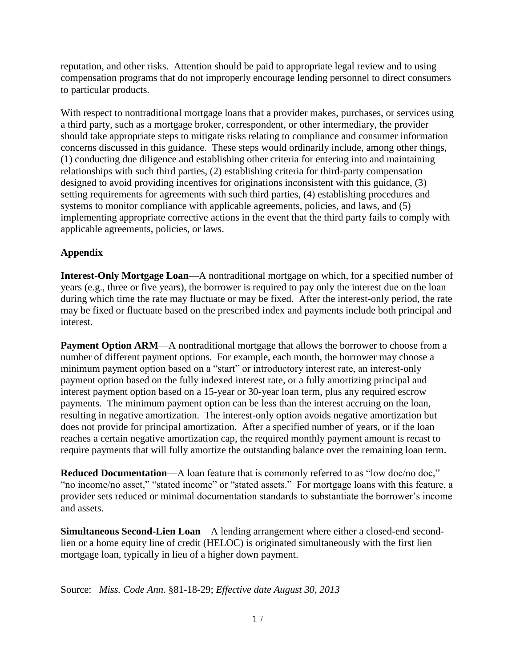reputation, and other risks. Attention should be paid to appropriate legal review and to using compensation programs that do not improperly encourage lending personnel to direct consumers to particular products.

With respect to nontraditional mortgage loans that a provider makes, purchases, or services using a third party, such as a mortgage broker, correspondent, or other intermediary, the provider should take appropriate steps to mitigate risks relating to compliance and consumer information concerns discussed in this guidance. These steps would ordinarily include, among other things, (1) conducting due diligence and establishing other criteria for entering into and maintaining relationships with such third parties, (2) establishing criteria for third-party compensation designed to avoid providing incentives for originations inconsistent with this guidance, (3) setting requirements for agreements with such third parties, (4) establishing procedures and systems to monitor compliance with applicable agreements, policies, and laws, and (5) implementing appropriate corrective actions in the event that the third party fails to comply with applicable agreements, policies, or laws.

# **Appendix**

**Interest-Only Mortgage Loan**—A nontraditional mortgage on which, for a specified number of years (e.g., three or five years), the borrower is required to pay only the interest due on the loan during which time the rate may fluctuate or may be fixed. After the interest-only period, the rate may be fixed or fluctuate based on the prescribed index and payments include both principal and interest.

**Payment Option ARM—A** nontraditional mortgage that allows the borrower to choose from a number of different payment options. For example, each month, the borrower may choose a minimum payment option based on a "start" or introductory interest rate, an interest-only payment option based on the fully indexed interest rate, or a fully amortizing principal and interest payment option based on a 15-year or 30-year loan term, plus any required escrow payments. The minimum payment option can be less than the interest accruing on the loan, resulting in negative amortization. The interest-only option avoids negative amortization but does not provide for principal amortization. After a specified number of years, or if the loan reaches a certain negative amortization cap, the required monthly payment amount is recast to require payments that will fully amortize the outstanding balance over the remaining loan term.

**Reduced Documentation—A** loan feature that is commonly referred to as "low doc/no doc," "no income/no asset," "stated income" or "stated assets." For mortgage loans with this feature, a provider sets reduced or minimal documentation standards to substantiate the borrower's income and assets.

**Simultaneous Second-Lien Loan**—A lending arrangement where either a closed-end secondlien or a home equity line of credit (HELOC) is originated simultaneously with the first lien mortgage loan, typically in lieu of a higher down payment.

Source: *Miss. Code Ann.* §81-18-29; *Effective date August 30, 2013*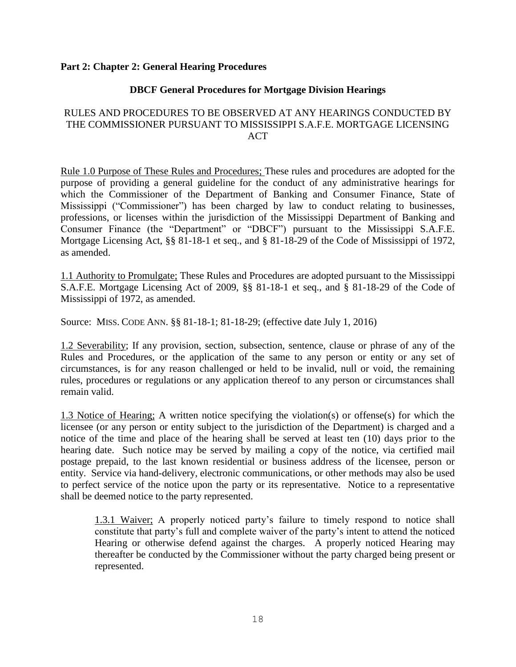#### **Part 2: Chapter 2: General Hearing Procedures**

#### **DBCF General Procedures for Mortgage Division Hearings**

### RULES AND PROCEDURES TO BE OBSERVED AT ANY HEARINGS CONDUCTED BY THE COMMISSIONER PURSUANT TO MISSISSIPPI S.A.F.E. MORTGAGE LICENSING **ACT**

Rule 1.0 Purpose of These Rules and Procedures; These rules and procedures are adopted for the purpose of providing a general guideline for the conduct of any administrative hearings for which the Commissioner of the Department of Banking and Consumer Finance, State of Mississippi ("Commissioner") has been charged by law to conduct relating to businesses, professions, or licenses within the jurisdiction of the Mississippi Department of Banking and Consumer Finance (the "Department" or "DBCF") pursuant to the Mississippi S.A.F.E. Mortgage Licensing Act, §§ 81-18-1 et seq., and § 81-18-29 of the Code of Mississippi of 1972, as amended.

1.1 Authority to Promulgate; These Rules and Procedures are adopted pursuant to the Mississippi S.A.F.E. Mortgage Licensing Act of 2009, §§ 81-18-1 et seq., and § 81-18-29 of the Code of Mississippi of 1972, as amended.

Source: MISS. CODE ANN. §§ 81-18-1; 81-18-29; (effective date July 1, 2016)

1.2 Severability; If any provision, section, subsection, sentence, clause or phrase of any of the Rules and Procedures, or the application of the same to any person or entity or any set of circumstances, is for any reason challenged or held to be invalid, null or void, the remaining rules, procedures or regulations or any application thereof to any person or circumstances shall remain valid.

1.3 Notice of Hearing; A written notice specifying the violation(s) or offense(s) for which the licensee (or any person or entity subject to the jurisdiction of the Department) is charged and a notice of the time and place of the hearing shall be served at least ten (10) days prior to the hearing date. Such notice may be served by mailing a copy of the notice, via certified mail postage prepaid, to the last known residential or business address of the licensee, person or entity. Service via hand-delivery, electronic communications, or other methods may also be used to perfect service of the notice upon the party or its representative. Notice to a representative shall be deemed notice to the party represented.

1.3.1 Waiver; A properly noticed party's failure to timely respond to notice shall constitute that party's full and complete waiver of the party's intent to attend the noticed Hearing or otherwise defend against the charges. A properly noticed Hearing may thereafter be conducted by the Commissioner without the party charged being present or represented.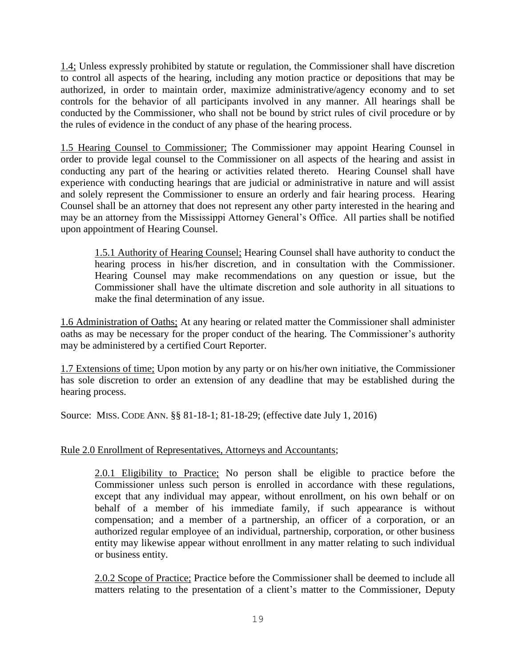1.4; Unless expressly prohibited by statute or regulation, the Commissioner shall have discretion to control all aspects of the hearing, including any motion practice or depositions that may be authorized, in order to maintain order, maximize administrative/agency economy and to set controls for the behavior of all participants involved in any manner. All hearings shall be conducted by the Commissioner, who shall not be bound by strict rules of civil procedure or by the rules of evidence in the conduct of any phase of the hearing process.

1.5 Hearing Counsel to Commissioner; The Commissioner may appoint Hearing Counsel in order to provide legal counsel to the Commissioner on all aspects of the hearing and assist in conducting any part of the hearing or activities related thereto. Hearing Counsel shall have experience with conducting hearings that are judicial or administrative in nature and will assist and solely represent the Commissioner to ensure an orderly and fair hearing process. Hearing Counsel shall be an attorney that does not represent any other party interested in the hearing and may be an attorney from the Mississippi Attorney General's Office. All parties shall be notified upon appointment of Hearing Counsel.

1.5.1 Authority of Hearing Counsel; Hearing Counsel shall have authority to conduct the hearing process in his/her discretion, and in consultation with the Commissioner. Hearing Counsel may make recommendations on any question or issue, but the Commissioner shall have the ultimate discretion and sole authority in all situations to make the final determination of any issue.

1.6 Administration of Oaths; At any hearing or related matter the Commissioner shall administer oaths as may be necessary for the proper conduct of the hearing. The Commissioner's authority may be administered by a certified Court Reporter.

1.7 Extensions of time; Upon motion by any party or on his/her own initiative, the Commissioner has sole discretion to order an extension of any deadline that may be established during the hearing process.

Source: MISS. CODE ANN. §§ 81-18-1; 81-18-29; (effective date July 1, 2016)

## Rule 2.0 Enrollment of Representatives, Attorneys and Accountants;

2.0.1 Eligibility to Practice; No person shall be eligible to practice before the Commissioner unless such person is enrolled in accordance with these regulations, except that any individual may appear, without enrollment, on his own behalf or on behalf of a member of his immediate family, if such appearance is without compensation; and a member of a partnership, an officer of a corporation, or an authorized regular employee of an individual, partnership, corporation, or other business entity may likewise appear without enrollment in any matter relating to such individual or business entity.

2.0.2 Scope of Practice; Practice before the Commissioner shall be deemed to include all matters relating to the presentation of a client's matter to the Commissioner, Deputy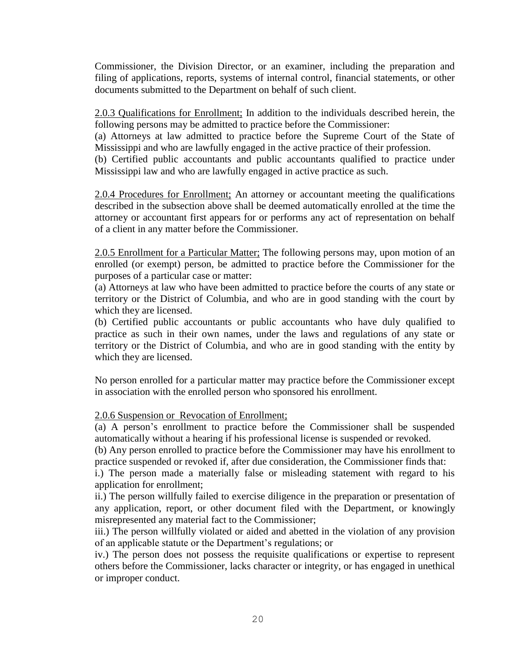Commissioner, the Division Director, or an examiner, including the preparation and filing of applications, reports, systems of internal control, financial statements, or other documents submitted to the Department on behalf of such client.

2.0.3 Qualifications for Enrollment; In addition to the individuals described herein, the following persons may be admitted to practice before the Commissioner:

(a) Attorneys at law admitted to practice before the Supreme Court of the State of Mississippi and who are lawfully engaged in the active practice of their profession.

(b) Certified public accountants and public accountants qualified to practice under Mississippi law and who are lawfully engaged in active practice as such.

2.0.4 Procedures for Enrollment; An attorney or accountant meeting the qualifications described in the subsection above shall be deemed automatically enrolled at the time the attorney or accountant first appears for or performs any act of representation on behalf of a client in any matter before the Commissioner.

2.0.5 Enrollment for a Particular Matter; The following persons may, upon motion of an enrolled (or exempt) person, be admitted to practice before the Commissioner for the purposes of a particular case or matter:

(a) Attorneys at law who have been admitted to practice before the courts of any state or territory or the District of Columbia, and who are in good standing with the court by which they are licensed.

(b) Certified public accountants or public accountants who have duly qualified to practice as such in their own names, under the laws and regulations of any state or territory or the District of Columbia, and who are in good standing with the entity by which they are licensed.

No person enrolled for a particular matter may practice before the Commissioner except in association with the enrolled person who sponsored his enrollment.

2.0.6 Suspension or Revocation of Enrollment;

(a) A person's enrollment to practice before the Commissioner shall be suspended automatically without a hearing if his professional license is suspended or revoked.

(b) Any person enrolled to practice before the Commissioner may have his enrollment to practice suspended or revoked if, after due consideration, the Commissioner finds that:

i.) The person made a materially false or misleading statement with regard to his application for enrollment;

ii.) The person willfully failed to exercise diligence in the preparation or presentation of any application, report, or other document filed with the Department, or knowingly misrepresented any material fact to the Commissioner;

iii.) The person willfully violated or aided and abetted in the violation of any provision of an applicable statute or the Department's regulations; or

iv.) The person does not possess the requisite qualifications or expertise to represent others before the Commissioner, lacks character or integrity, or has engaged in unethical or improper conduct.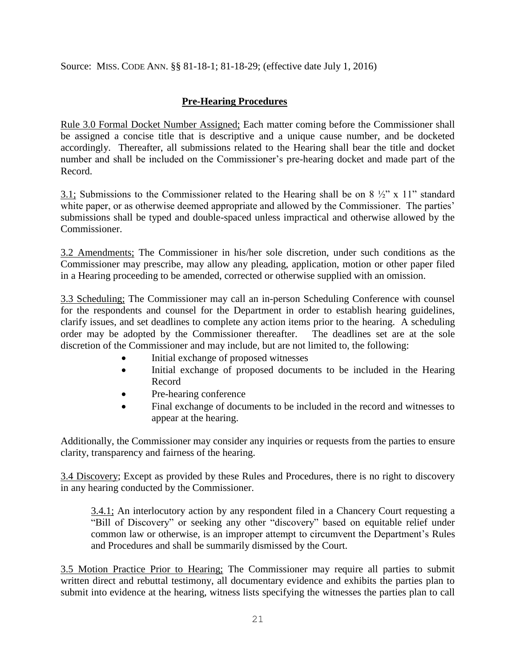Source: MISS. CODE ANN. §§ 81-18-1; 81-18-29; (effective date July 1, 2016)

# **Pre-Hearing Procedures**

Rule 3.0 Formal Docket Number Assigned; Each matter coming before the Commissioner shall be assigned a concise title that is descriptive and a unique cause number, and be docketed accordingly. Thereafter, all submissions related to the Hearing shall bear the title and docket number and shall be included on the Commissioner's pre-hearing docket and made part of the Record.

3.1; Submissions to the Commissioner related to the Hearing shall be on 8  $\frac{1}{2}$ " x 11" standard white paper, or as otherwise deemed appropriate and allowed by the Commissioner. The parties' submissions shall be typed and double-spaced unless impractical and otherwise allowed by the Commissioner.

3.2 Amendments; The Commissioner in his/her sole discretion, under such conditions as the Commissioner may prescribe, may allow any pleading, application, motion or other paper filed in a Hearing proceeding to be amended, corrected or otherwise supplied with an omission.

3.3 Scheduling; The Commissioner may call an in-person Scheduling Conference with counsel for the respondents and counsel for the Department in order to establish hearing guidelines, clarify issues, and set deadlines to complete any action items prior to the hearing. A scheduling order may be adopted by the Commissioner thereafter. The deadlines set are at the sole discretion of the Commissioner and may include, but are not limited to, the following:

- Initial exchange of proposed witnesses
- Initial exchange of proposed documents to be included in the Hearing Record
- Pre-hearing conference
- Final exchange of documents to be included in the record and witnesses to appear at the hearing.

Additionally, the Commissioner may consider any inquiries or requests from the parties to ensure clarity, transparency and fairness of the hearing.

3.4 Discovery; Except as provided by these Rules and Procedures, there is no right to discovery in any hearing conducted by the Commissioner.

3.4.1; An interlocutory action by any respondent filed in a Chancery Court requesting a "Bill of Discovery" or seeking any other "discovery" based on equitable relief under common law or otherwise, is an improper attempt to circumvent the Department's Rules and Procedures and shall be summarily dismissed by the Court.

3.5 Motion Practice Prior to Hearing; The Commissioner may require all parties to submit written direct and rebuttal testimony, all documentary evidence and exhibits the parties plan to submit into evidence at the hearing, witness lists specifying the witnesses the parties plan to call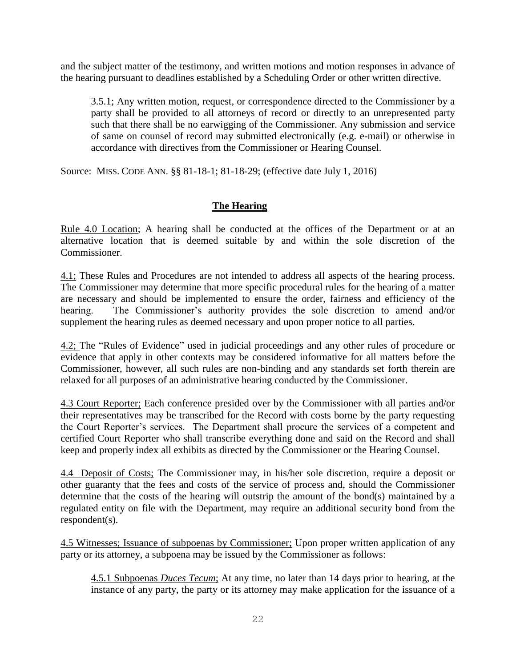and the subject matter of the testimony, and written motions and motion responses in advance of the hearing pursuant to deadlines established by a Scheduling Order or other written directive.

3.5.1; Any written motion, request, or correspondence directed to the Commissioner by a party shall be provided to all attorneys of record or directly to an unrepresented party such that there shall be no earwigging of the Commissioner. Any submission and service of same on counsel of record may submitted electronically (e.g. e-mail) or otherwise in accordance with directives from the Commissioner or Hearing Counsel.

Source: MISS. CODE ANN. §§ 81-18-1; 81-18-29; (effective date July 1, 2016)

## **The Hearing**

Rule 4.0 Location; A hearing shall be conducted at the offices of the Department or at an alternative location that is deemed suitable by and within the sole discretion of the Commissioner.

4.1; These Rules and Procedures are not intended to address all aspects of the hearing process. The Commissioner may determine that more specific procedural rules for the hearing of a matter are necessary and should be implemented to ensure the order, fairness and efficiency of the hearing. The Commissioner's authority provides the sole discretion to amend and/or supplement the hearing rules as deemed necessary and upon proper notice to all parties.

4.2; The "Rules of Evidence" used in judicial proceedings and any other rules of procedure or evidence that apply in other contexts may be considered informative for all matters before the Commissioner, however, all such rules are non-binding and any standards set forth therein are relaxed for all purposes of an administrative hearing conducted by the Commissioner.

4.3 Court Reporter; Each conference presided over by the Commissioner with all parties and/or their representatives may be transcribed for the Record with costs borne by the party requesting the Court Reporter's services. The Department shall procure the services of a competent and certified Court Reporter who shall transcribe everything done and said on the Record and shall keep and properly index all exhibits as directed by the Commissioner or the Hearing Counsel.

4.4 Deposit of Costs; The Commissioner may, in his/her sole discretion, require a deposit or other guaranty that the fees and costs of the service of process and, should the Commissioner determine that the costs of the hearing will outstrip the amount of the bond(s) maintained by a regulated entity on file with the Department, may require an additional security bond from the respondent(s).

4.5 Witnesses; Issuance of subpoenas by Commissioner; Upon proper written application of any party or its attorney, a subpoena may be issued by the Commissioner as follows:

4.5.1 Subpoenas *Duces Tecum*; At any time, no later than 14 days prior to hearing, at the instance of any party, the party or its attorney may make application for the issuance of a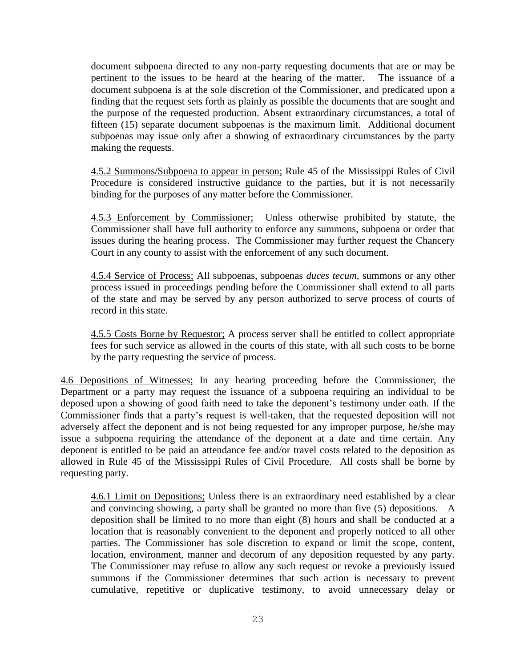document subpoena directed to any non-party requesting documents that are or may be pertinent to the issues to be heard at the hearing of the matter. The issuance of a document subpoena is at the sole discretion of the Commissioner, and predicated upon a finding that the request sets forth as plainly as possible the documents that are sought and the purpose of the requested production. Absent extraordinary circumstances, a total of fifteen (15) separate document subpoenas is the maximum limit. Additional document subpoenas may issue only after a showing of extraordinary circumstances by the party making the requests.

4.5.2 Summons/Subpoena to appear in person; Rule 45 of the Mississippi Rules of Civil Procedure is considered instructive guidance to the parties, but it is not necessarily binding for the purposes of any matter before the Commissioner.

4.5.3 Enforcement by Commissioner; Unless otherwise prohibited by statute, the Commissioner shall have full authority to enforce any summons, subpoena or order that issues during the hearing process. The Commissioner may further request the Chancery Court in any county to assist with the enforcement of any such document.

4.5.4 Service of Process; All subpoenas, subpoenas *duces tecum,* summons or any other process issued in proceedings pending before the Commissioner shall extend to all parts of the state and may be served by any person authorized to serve process of courts of record in this state.

4.5.5 Costs Borne by Requestor; A process server shall be entitled to collect appropriate fees for such service as allowed in the courts of this state, with all such costs to be borne by the party requesting the service of process.

4.6 Depositions of Witnesses; In any hearing proceeding before the Commissioner, the Department or a party may request the issuance of a subpoena requiring an individual to be deposed upon a showing of good faith need to take the deponent's testimony under oath. If the Commissioner finds that a party's request is well-taken, that the requested deposition will not adversely affect the deponent and is not being requested for any improper purpose, he/she may issue a subpoena requiring the attendance of the deponent at a date and time certain. Any deponent is entitled to be paid an attendance fee and/or travel costs related to the deposition as allowed in Rule 45 of the Mississippi Rules of Civil Procedure. All costs shall be borne by requesting party.

4.6.1 Limit on Depositions; Unless there is an extraordinary need established by a clear and convincing showing, a party shall be granted no more than five (5) depositions. A deposition shall be limited to no more than eight (8) hours and shall be conducted at a location that is reasonably convenient to the deponent and properly noticed to all other parties. The Commissioner has sole discretion to expand or limit the scope, content, location, environment, manner and decorum of any deposition requested by any party. The Commissioner may refuse to allow any such request or revoke a previously issued summons if the Commissioner determines that such action is necessary to prevent cumulative, repetitive or duplicative testimony, to avoid unnecessary delay or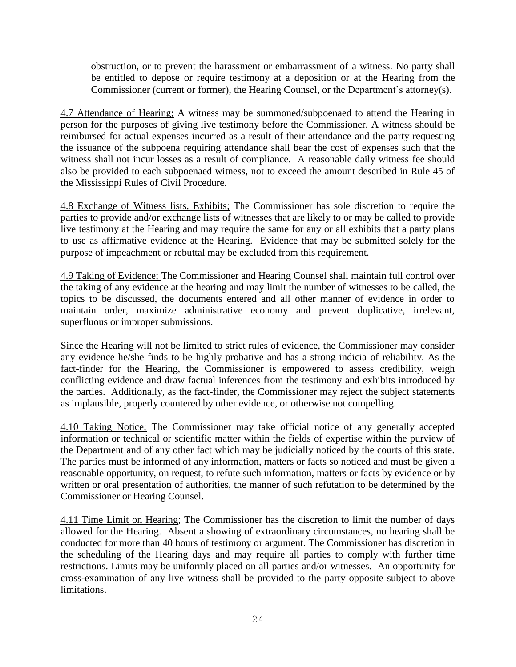obstruction, or to prevent the harassment or embarrassment of a witness. No party shall be entitled to depose or require testimony at a deposition or at the Hearing from the Commissioner (current or former), the Hearing Counsel, or the Department's attorney(s).

4.7 Attendance of Hearing; A witness may be summoned/subpoenaed to attend the Hearing in person for the purposes of giving live testimony before the Commissioner. A witness should be reimbursed for actual expenses incurred as a result of their attendance and the party requesting the issuance of the subpoena requiring attendance shall bear the cost of expenses such that the witness shall not incur losses as a result of compliance. A reasonable daily witness fee should also be provided to each subpoenaed witness, not to exceed the amount described in Rule 45 of the Mississippi Rules of Civil Procedure.

4.8 Exchange of Witness lists, Exhibits; The Commissioner has sole discretion to require the parties to provide and/or exchange lists of witnesses that are likely to or may be called to provide live testimony at the Hearing and may require the same for any or all exhibits that a party plans to use as affirmative evidence at the Hearing. Evidence that may be submitted solely for the purpose of impeachment or rebuttal may be excluded from this requirement.

4.9 Taking of Evidence; The Commissioner and Hearing Counsel shall maintain full control over the taking of any evidence at the hearing and may limit the number of witnesses to be called, the topics to be discussed, the documents entered and all other manner of evidence in order to maintain order, maximize administrative economy and prevent duplicative, irrelevant, superfluous or improper submissions.

Since the Hearing will not be limited to strict rules of evidence, the Commissioner may consider any evidence he/she finds to be highly probative and has a strong indicia of reliability. As the fact-finder for the Hearing, the Commissioner is empowered to assess credibility, weigh conflicting evidence and draw factual inferences from the testimony and exhibits introduced by the parties. Additionally, as the fact-finder, the Commissioner may reject the subject statements as implausible, properly countered by other evidence, or otherwise not compelling.

4.10 Taking Notice; The Commissioner may take official notice of any generally accepted information or technical or scientific matter within the fields of expertise within the purview of the Department and of any other fact which may be judicially noticed by the courts of this state. The parties must be informed of any information, matters or facts so noticed and must be given a reasonable opportunity, on request, to refute such information, matters or facts by evidence or by written or oral presentation of authorities, the manner of such refutation to be determined by the Commissioner or Hearing Counsel.

4.11 Time Limit on Hearing; The Commissioner has the discretion to limit the number of days allowed for the Hearing. Absent a showing of extraordinary circumstances, no hearing shall be conducted for more than 40 hours of testimony or argument. The Commissioner has discretion in the scheduling of the Hearing days and may require all parties to comply with further time restrictions. Limits may be uniformly placed on all parties and/or witnesses. An opportunity for cross-examination of any live witness shall be provided to the party opposite subject to above limitations.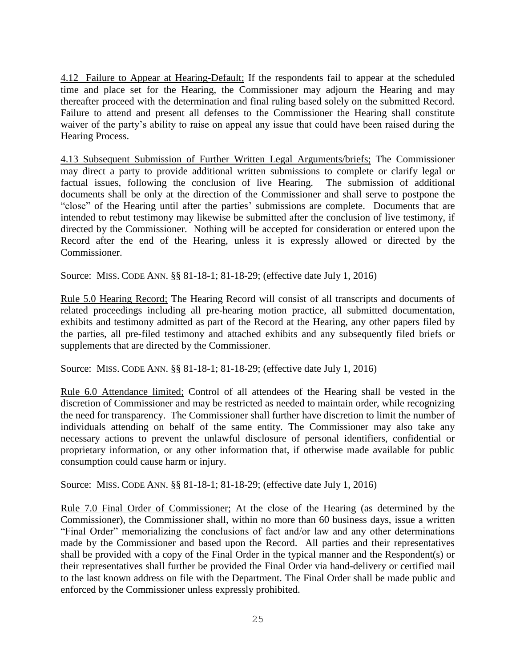4.12 Failure to Appear at Hearing-Default; If the respondents fail to appear at the scheduled time and place set for the Hearing, the Commissioner may adjourn the Hearing and may thereafter proceed with the determination and final ruling based solely on the submitted Record. Failure to attend and present all defenses to the Commissioner the Hearing shall constitute waiver of the party's ability to raise on appeal any issue that could have been raised during the Hearing Process.

4.13 Subsequent Submission of Further Written Legal Arguments/briefs; The Commissioner may direct a party to provide additional written submissions to complete or clarify legal or factual issues, following the conclusion of live Hearing. The submission of additional documents shall be only at the direction of the Commissioner and shall serve to postpone the "close" of the Hearing until after the parties' submissions are complete. Documents that are intended to rebut testimony may likewise be submitted after the conclusion of live testimony, if directed by the Commissioner. Nothing will be accepted for consideration or entered upon the Record after the end of the Hearing, unless it is expressly allowed or directed by the Commissioner.

Source: MISS. CODE ANN. §§ 81-18-1; 81-18-29; (effective date July 1, 2016)

Rule 5.0 Hearing Record; The Hearing Record will consist of all transcripts and documents of related proceedings including all pre-hearing motion practice, all submitted documentation, exhibits and testimony admitted as part of the Record at the Hearing, any other papers filed by the parties, all pre-filed testimony and attached exhibits and any subsequently filed briefs or supplements that are directed by the Commissioner.

Source: MISS. CODE ANN. §§ 81-18-1; 81-18-29; (effective date July 1, 2016)

Rule 6.0 Attendance limited; Control of all attendees of the Hearing shall be vested in the discretion of Commissioner and may be restricted as needed to maintain order, while recognizing the need for transparency. The Commissioner shall further have discretion to limit the number of individuals attending on behalf of the same entity. The Commissioner may also take any necessary actions to prevent the unlawful disclosure of personal identifiers, confidential or proprietary information, or any other information that, if otherwise made available for public consumption could cause harm or injury.

Source: MISS. CODE ANN. §§ 81-18-1; 81-18-29; (effective date July 1, 2016)

Rule 7.0 Final Order of Commissioner; At the close of the Hearing (as determined by the Commissioner), the Commissioner shall, within no more than 60 business days, issue a written "Final Order" memorializing the conclusions of fact and/or law and any other determinations made by the Commissioner and based upon the Record. All parties and their representatives shall be provided with a copy of the Final Order in the typical manner and the Respondent(s) or their representatives shall further be provided the Final Order via hand-delivery or certified mail to the last known address on file with the Department. The Final Order shall be made public and enforced by the Commissioner unless expressly prohibited.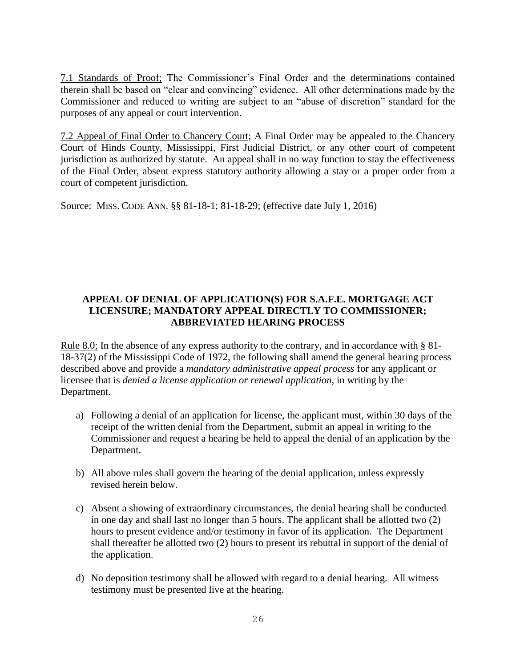7.1 Standards of Proof; The Commissioner's Final Order and the determinations contained therein shall be based on "clear and convincing" evidence. All other determinations made by the Commissioner and reduced to writing are subject to an "abuse of discretion" standard for the purposes of any appeal or court intervention.

7.2 Appeal of Final Order to Chancery Court; A Final Order may be appealed to the Chancery Court of Hinds County, Mississippi, First Judicial District, or any other court of competent jurisdiction as authorized by statute. An appeal shall in no way function to stay the effectiveness of the Final Order, absent express statutory authority allowing a stay or a proper order from a court of competent jurisdiction.

Source: MISS. CODE ANN. §§ 81-18-1; 81-18-29; (effective date July 1, 2016)

## **APPEAL OF DENIAL OF APPLICATION(S) FOR S.A.F.E. MORTGAGE ACT LICENSURE; MANDATORY APPEAL DIRECTLY TO COMMISSIONER; ABBREVIATED HEARING PROCESS**

Rule 8.0; In the absence of any express authority to the contrary, and in accordance with § 81-18-37(2) of the Mississippi Code of 1972, the following shall amend the general hearing process described above and provide a *mandatory administrative appeal process* for any applicant or licensee that is *denied a license application or renewal application,* in writing by the Department.

- a) Following a denial of an application for license, the applicant must, within 30 days of the receipt of the written denial from the Department, submit an appeal in writing to the Commissioner and request a hearing be held to appeal the denial of an application by the Department.
- b) All above rules shall govern the hearing of the denial application, unless expressly revised herein below.
- c) Absent a showing of extraordinary circumstances, the denial hearing shall be conducted in one day and shall last no longer than 5 hours. The applicant shall be allotted two (2) hours to present evidence and/or testimony in favor of its application. The Department shall thereafter be allotted two (2) hours to present its rebuttal in support of the denial of the application.
- d) No deposition testimony shall be allowed with regard to a denial hearing. All witness testimony must be presented live at the hearing.